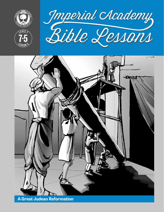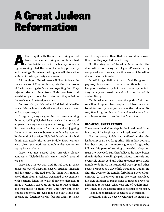# A Great Judean Reformation

**A** fter it split with the northern kingdom of Israel, the southern kingdom of Judah had a few bright spots in its history. When a Israel, the southern kingdom of Judah had a few bright spots in its history. When a righteous king ruled, the nation had safety, prosperity and blessings. But when the king was evil, the nation suffered invasion, poverty and curses.

All the kings of Israel were evil. Each followed in the same sins of King Jeroboam, rejecting the throne of David, rejecting God's law, and rejecting God. They rejected the warnings from God's prophets and worshiped pagan gods. For protection, they relied on themselves and on foreign armies.

Because of sin, both Israel and Judah diminished in power. Meanwhile, one Gentile empire grew stronger and stronger: Assyria.

In 745 b.c., Assyria grew into an overwhelming force, led by King Tiglath-Pileser III. Over the course of 20 years, the Assyrian army swept through the Middle East, conquering nation after nation and subjugating them to either heavy tribute or complete destruction. By the end of his reign, Tiglath-Pileser's empire had dominated nearly the entire Middle East. Nations were given two options: complete destruction or paying heavy tribute.

Israel was not spared from Assyria's bloody conquests. Tiglath-Pileser's army invaded around 732 b.c.

Israel had a history with God. He had brought their ancestors out of Egyptian slavery, crushed Pharaoh and his army in the Red Sea, fed them with manna, saved them from attackers, weakened their enemies with hornets, felled the walls of Jericho, defeated 31 kings in Canaan, raised up 12 judges to rescue them, and responded to them every time they and their leaders repented. He even made the sun stand still because He "fought for Israel" (Joshua 10:12-14). Their

own history showed them that God would have saved them, but they rejected their history.

So the kingdom of Israel suffered under the domination of Assyria. Tiglath-Pileser's army conquered and took captive thousands of Israelites during its initial invasion.

Israel's king still did not turn to God. He agreed to pay Assyria an annual tribute. Israel thought that it had purchased security. But its enormous payments to Assyria only weakened the nation further financially and militarily.

Yet Israel continued down the path of sin and rebellion. Prophet after prophet had been warning Israel for nearly 200 years since the reign of its very first king, Jeroboam. It would receive one final warning—not from a prophet but from a king.

#### RIGHTEOUSNESS REIGNS

These were the darkest days in the kingdom of Israel but some of the brightest in the kingdom of Judah.

For 16 years, Judah had suffered under the leadership of an evil king, Ahaz. His father, Jotham, had been one of the more righteous kings, who followed his parents' training to worship, obey and trust the true God. But Ahaz believed he knew better than his father. He willingly paid tribute to Assyria and even stole silver, gold and other treasures from God's temple to do it. He instituted idol worship and other pagan practices as a way of life throughout Judah. He shut the doors to the temple, forbidding anyone from entering (2 Chronicles 28:24). He even sacrificed his own children to pagan gods to further prove his allegiance to Assyria. Ahaz was one of Judah's most evil kings, and the nation suffered because of his reign.

Then his son Hezekiah ascended to the throne. Hezekiah, only 25, eagerly reformed the nation to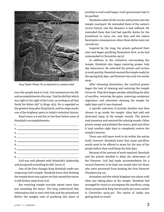

King Tiglath-Pileser III, as depicted on a palace relief

turn the people back to God. God summarizes his life and accomplishments this way: "And he did that which was right in the sight of the LORD, according to all that David his father did" (2 Kings 18:3). He is regarded as the greatest king after King David, and his reign marks one of the brightest spots in Judah's turbulent history.

Read verses 4-8 and list on the lines below some of Hezekiah's accomplishments:

| $\overline{\phantom{a}}$ 2.   |
|-------------------------------|
|                               |
| 4.                            |
| $5.$ $\overline{\phantom{a}}$ |
|                               |
|                               |
|                               |
|                               |
|                               |

God was well pleased with Hezekiah's leadership and prospered everything he did! (verse 7).

One of the first changes King Hezekiah made was reopening God's temple. Hezekiah knew that shutting the temple doors was a grave sin that caused the nation to fall farther away from God.

But restoring temple worship meant more than just unsealing the doors. The king understood that reformation had to start with him and the priesthood. Before the weighty task of purifying this place of

worship to God could begin, God's government had to be purified.

Hezekiah called all the Levites and priests into the temple courtyard. He reminded them of the nation's recent history and the disasters it had suffered. He reminded them that God had specific duties for the priesthood to carry out, and they and the nation faced grave consequences when those duties were not carried out.

Inspired by the king, the priests gathered their sons and began purifying themselves first, as he had commanded (2 Chronicles 29:15).

In addition to the initiatives surrounding the temple, Hezekiah also began restoring proper holy day observance. He exhorted the priests and Levites to work quickly; Hezekiah wanted the temple ready for the spring holy days, and Passover was only two weeks away.

After cleansing themselves, the Levitical priests began the task of cleaning and restoring the temple (verse 16). They first began outside, rebuilding the altar of sacrifice, restoring the gates, removing overgrown vegetation, and otherwise cleaning the temple for eight days until it was cleansed.

A specific selection of priestly families was then chosen to go inside the temple. Ahaz had sold and destroyed many of the temple vessels. The priests took inventory and restored the missing vessels. Other priests swept and polished the stones, gold and silver. It took another eight days to completely restore the temple's interior.

There was still more work to do within the nation itself, however. Hezekiah knew that many sacrifices would need to be offered to atone for the sins of the people before they could keep the holy days.

Because of the amount of work required, Hezekiah and the priests decided to delay the observance of the Passover. God had made accommodation for a second Passover to be kept one month later for those who were prevented from keeping the first Passover (Numbers 9:9-14).

Jerusalem and the whole kingdom was abuzz with what was taking place at the temple. Hezekiah had arranged for music to accompany the sacrifices, using music prepared by King David nearly 300 years earlier (2 Chronicles 29:25-30). The nation of Judah was getting back on track!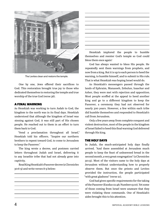

The Levites clean and restore the temple.

One by one, Jews offered their sacrifices to God. This restoration brought true joy to those who dedicated themselves to restoring the temple and true worship of the true God (verse 36).

#### A FINAL WARNING

As Hezekiah was working to turn Judah to God, the kingdom to the north was in its final days. Hezekiah understood that although the kingdom of Israel was sinning against God, it was still part of His chosen people. He reached out to them in an effort to turn them back to God.

"Send a proclamation throughout all Israel," Hezekiah told his officers. "Inspire our northern brothers to repent toward God, to come to Jerusalem to keep the Passover."

The king wrote a decree, and postmen carried letters throughout Judah and Israel, delivering it to any Israelite tribe that had not already gone into captivity.

Read King Hezekiah's Passover decree (2 Chronicles 30:6-9) and write verses 8-9 below:



Hezekiah implored the people to humble themselves and reenter God's temple so God could bless them once again!

God has always wanted to bless His people. He repeatedly sent them warnings from prophets, and now from a king. But it is up to each person to heed the warning, to humble himself, and to submit to His rule. That is what Hezekiah was hoping Israel would do.

As Hezekiah's messengers passed through the lands of Ephraim, Manasseh, Zebulun, Isaachar and Asher, they were met with rejection and opposition. Most people scoffed at the appeal to heed another king and go to a different kingdom to keep the Passover, a ceremony they had not observed for nearly 300 years. However, a few within each tribe did humble themselves and responded to Hezekiah's call from Jerusalem.

Only a few years away from complete conquest and violent destruction, most of the people in the kingdom of Israel failed to heed this final warning God delivered through His king.

#### THE HOLY DAYS

In Judah, the much-anticipated holy days finally arrived. "And there assembled at Jerusalem much people to keep the feast of unleavened bread in the second month, a very great congregation" (2 Chronicles 30:13). Most of the visitors came to the holy days at Jerusalem without understanding how to properly observe them. But once the priests and Levites provided the instruction, the people participated "with great gladness" (verse 21).

God had given specific requirements for the taking of the Passover (Exodus 12:48; Numbers 9:10). Yet some of those coming from Israel were unaware that they were violating these commands. One of Hezekiah's aides brought this to his attention.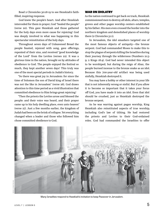Read 2 Chronicles 30:18-19 to see Hezekiah's faithfilled, inspiring response.

God knew the people's heart. And after Hezekiah interceded for them in prayer, God "healed the people" (verse 20). This gave Hezekiah and those gathered for the holy days even more cause for rejoicing! God was deeply involved in what was happening in this spectacular reinstitution of the holy days.

Throughout seven days of Unleavened Bread the people feasted, rejoiced with song, gave offerings, repented of their sins, and received "good knowledge of the Lord" from the Levites (verses 22). It was a glorious time in the nation, brought on by attitudes of obedience to God. The people enjoyed the festival so much, they kept another seven days! This truly was one of the most special periods in Judah's history.

"So there was great joy in Jerusalem: for since the time of Solomon the son of David king of Israel there was not the like in Jerusalem" (verse 26). God draws attention to this time period as a vivid illustration that committed obedience to Him brings great rejoicing!

"Then the priests the Levites arose and blessed the people: and their voice was heard, and their prayer came up to his holy dwelling place, even unto heaven" (verse 27). Just a few months earlier, the kingdom of Judah had been on the brink of collapse. Yet everything changed when a leader and those who followed him chose committed obedience to God.

#### WAR ON IDOLATRY

As the nation continued to get back on track, Hezekiah commissioned men to destroy all idols, altars, temples, groves and other pagan worship centers established by his father. His men even crossed the border into the northern kingdom and demolished places of worship there (2 Chronicles 31:1).

In Jerusalem, the idol smashers targeted one of the most famous objects of antiquity—the bronze serpent. God had commanded Moses to make this to stop the plague of serpents killing the Israelites during their journey through the wilderness (Numbers 21:5- 9; 2 Kings 18:4). God had never intended this object to be worshiped, but during the reign of Ahaz, the people burned incense to the bronze snake as an idol. Because this 700-year-old artifact was being used sinfully, Hezekiah destroyed it.

You may have a hobby or other interest in your life that is not inherently wrong or sinful. But if you allow it to become so important that it takes your focus off God, you have made it into an idol. Even that idol should be crushed, just as Hezekiah destroyed the bronze serpent.

As he was warring against pagan worship, King Hezekiah also reinstituted aspects of true worship, including God's law of tithing. He had restored the priests and Levites to their God-ordained roles. God had commanded the Israelites to offer



Many Israelites respond to Hezekiah's invitation to keep Passover in Jerusalem.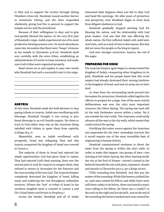to Him and to support the Levites through tithing (Numbers 18:20-26). Hezekiah issued another decree to reinstitute tithing, and the Jews responded obediently, giving God His 10 percent to support the temple service and the priesthood.

Because of their willingness to obey and to give, God greatly blessed the nation. In the very first year of Hezekiah's reign, Judah experienced one of its most productive farming seasons ever. So much abundance came into Jerusalem that there were "heaps" of excess at the temple (2 Chronicles 31:8-10). Hezekiah dealt very carefully with the extra tithes, establishing an administration of Levites to keep inventory and make sure God's tithes were organized properly.

Read verses 20-21 and explain in your own words why Hezekiah had such a successful start to his reign.

#### ASSYRIA

At this time, Hezekiah made the bold decision to stop paying tribute to Assyria. Judah was overflowing with blessings. Hezekiah thought it was wrong to give those blessings to an evil Gentile empire. He chose to trust in God rather than rely on the Assyrians being satisfied with tribute to spare them from captivity (2 Kings 18:5, 7).

Meanwhile, even as Judah overflowed with prosperity, Israel was collapsing. How and why Assyria conquered the kingdom of Israel was covered in Lesson 3.

The majority of those in Israel had rejected the ample opportunities God had given them to repent. They had rejected God's final warning. Even over the several years it took for Assyria to conquer them, they refused to return to Jerusalem for the Passover and the true worship of the true God. The Assyrian Empire completely destroyed the kingdom of Israel, killing many and scattering the rest throughout unfamiliar territory. (Where the "lost" 10 tribes of Israel in the northern kingdom went is covered in Lesson 4 and *The United States and Britain in Prophecy.*)

Across the border, Hezekiah and all of Judah

witnessed what happens when you fail to obey God and heed His warnings. Yet after years of protection and prosperity, even Hezekiah began to draw back from diligent obedience to God.

Hezekiah gradually stopped praising God for blessing the nation, and his relationship with God grew weaker. God saw that this was affecting the whole nation. He first inflicted Judah with mild tests and trials, such as a lack of rain in due season. But that did not move the people or the king to repent.

God sent stronger correction: Assyria, the rod of His anger.

#### PREPARING FOR SIEGE

The Assyrian Empire again began to sweep toward the kingdom of Judah, conquering other kingdoms in its path. Hezekiah and his people knew that this cruel empire had already destroyed their sinning brethren in the kingdom of Israel, and now its army was in their land.

As Jews from the surrounding lands poured into Jerusalem for protection, Hezekiah called together his officers to prepare for a siege. One of the most critical deliberations was over the city's most important resource: the Gihon Spring. The spring was (and still is) the only freshwater source within 5 miles. Yet it was outside the city's walls. The Assyrians could easily advance all the way to the city walls, which meant they could control the spring.

Fortifying this water source against the Assyrians was imperative for the Jews' immediate survival. But it would require one of the most incredible feats of engineering in human history.

Hezekiah commissioned workmen to divert the water from the spring to within the city's walls. In order to make this happen, two groups of men—one starting at the Gihon Spring, the other starting inside the city at the Pool of Siloam—carved a tunnel in the bedrock beneath the city with picks, hammers, chisels and shovels (2 Chronicles 32:2-4, 30; 2 Kings 20:20).

"[T]he tunneling [was finished]. And this was the matter of the tunneling: While [the hewers yielded] the ax, each man toward his fellow, and while there were still three cubits to be he[wn, there was hear]d a man's voice calling to his fellow, for there was a crack[?] in the rock on the right and [on the lef]t. And at the end of the tunneling the hewers hacked each man toward his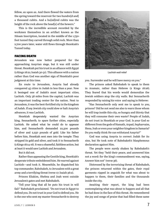fellow, ax upon ax. And there flowed the waters from the spring toward the reservoir for two hundre[d and] a thousand cubits. And a hu[nd]red cubits was the height of the rock above the head[s] of the hewers."

This is the incredible account recorded by the workmen themselves in an artifact known as the Siloam Inscription, located in the middle of the 1,750 foot tunnel they carved through solid rock. More than 2,700 years later, water still flows through Hezekiah's Tunnel today.

#### FACING DEATH

Jerusalem was now better prepared for the approaching Assyrian siege, but it was still under threat. Hezekiah put his trust in an alliance with Egypt (2 Kings 18:21; Isaiah 30-31). This alliance with a nation rather than God was another sign of Hezekiah's poor judgment at this time.

En route to Jerusalem, Assyria had already conquered 45 cities in Judah in less than a year. Now it besieged one of Judah's most important cities, Lachish. Only 38 miles from the capital, Lachish was an important trading center for the nation. Next to Jerusalem, it was the best-fortified city in the kingdom of Judah. If any Jewish city could slow or halt Assyria's advances, it was Lachish.

Hezekiah desperately wanted the Assyrian king, Sennacherib, to spare further cities, especially Lachish. He asked what he could do to appease him, and Sennacherib demanded 22,500 pounds of silver and 2,250 pounds of gold. Like his father before him, Hezekiah sent men into the temple: They stripped its gold and silver, and took it to Sennacherib (2 Kings 18:14-16). It was a shameful, faithless action, but at least it would save Lachish and Jerusalem.

But it did not.

Rather than appeasing the Gentile king, Hezekiah's desperate tribute emboldened him. He warred against Lachish—and took it. Meanwhile, he dispatched his top commander, Rabshakeh, to Jerusalem with a great army and a terrifying threat (verse 17; Isaiah 36:2).

Princes Eliakim, Shebna and Joah went outside Jerusalem's gates and met Rabshakeh.

"Tell your king that all he puts his trust in will fail!" Rabshakeh proclaimed. "Do not trust in Egypt to defend you. Do not trust in your God to defend you. He is the one who sent my master Sennacherib to destroy



Lachish wall relief

you. Surrender and he will have mercy on you."

The princes asked Rabshakeh to speak to them in Aramaic, rather than Hebrew (2 Kings 18:26). They feared that his words would demoralize the Jewish soldiers atop the city walls. But Sennacherib responded by raising his voice and saying in Hebrew:

"Has Sennacherib only sent me to speak to you, princes? Did he not send me also to warn those whom he will trap inside this city, so hungry and thirsty that they will consume their own waste? People of Judah, do not trust in Hezekiah or your God. Is your God so different from the gods of Hamath, Arpad, Sepharvaim, Hena, Ivah or even your neighbor kingdom in Samaria? Do you really think He can withstand Assyria?"

God was using Assyria to correct Judah for its sins, but He took note of Rabshakeh's blasphemous declaration against Him.

The people were surely shaken by Rabshakeh's threat. Yet they "held their peace, and answered him not a word: for the king's commandment was, saying, Answer him not" (verse 36).

Distressed by the terrorizing threat of Rabshakeh, the princes returned within the gates, their royal garments ripped in anguish for what was about to happen to them, their families and the thousands inside the city.

Awaiting their report, the king had been contemplating what was about to happen and all that he had done in the face of this threat. He remembered the joy and songs of praise that had filled these same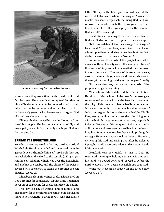

Hezekiah knows only God can deliver the nation.

streets. Now they were filled with dread, panic and faithlessness. The magnificent temple of God that he himself had commanded to be restored stood in their midst, marred by the command he had given to strip it. In those early years, he had been close to the great God of Israel. Now he was distant.

Alliances had not saved his people. Money had not saved his people. The lesson was now painfully and inescapably clear. Judah had only one hope all along: the one true God.

#### SPREAD IT BEFORE THE LORD

Now the princes reported to the king the dire words of Rabshakeh. Hezekiah nodded and dismissed them. In grave silence, he humbled himself, tore his clothes, put on sackcloth, and walked to the temple (2 Kings 19:1). "And he sent Eliakim, which was over the household, and Shebna the scribe, and the elders of the priests, covered with sackcloth, to Isaiah the prophet the son of Amoz" (verse 2).

It had been a long time since the king had called on God's prophet for counsel. But all that time, Isaiah had never stopped praying for the king and for the nation.

"This day is a day of trouble, and of rebuke, and blasphemy; for the children are come to the birth, and there is not strength to bring forth," read Hezekiah's

letter. "It may be the LORD your God will hear all the words of Rabshakeh, whom the king of Assyria his master has sent to reproach the living God; and will reprove the words which the LORD your God hath heard: wherefore lift up your prayer for the remnant that are left" (verses 3-4).

Isaiah finished reading the letter. He was close to God, and God moved him to respond to the messengers.

"Tell Hezekiah to not fear the message from Assyria," Isaiah said. "They have blasphemed God: He will send a blast upon them. And King Sennacherib himself will die by the sword in his own land" (verses 6-7).

In one sense, the words of the prophet seemed to change nothing. The city was still surrounded. Tens of thousands of Assyrian soldiers awaited the command to storm Jerusalem. Hundreds of thousands of spears, swords, daggers, slings, arrows and firebrands were at the ready for wounding and slaying the people of the city.

But in another very real sense, the words of the prophet changed everything.

The princes left Isaiah and hurried to inform Hezekiah. Meanwhile Rabshakeh's messengers reported to Sennacherib that the Jews had not opened the city. This angered Sennacherib who wanted Jerusalem not only to complete his dominance of Judah but to give him control over much of the Middle East, strengthening him against the other kingdoms with which he was constantly at war, especially Babylon. He wanted his conquest of this city to take as little time and resources as possible, but the Jewish king had found a new resolve that would prolong the struggle. He sent an angry, mocking letter to Hezekiah, criticizing his God and saying that after he defeated Egypt, he would make Jerusalem and everyone inside it his next victim.

Hezekiah was now quick to turn to God. He reentered the temple, holding Sennacherib's letter in his hand. He bowed down and "spread it before the Lord" (verse 14), then began a heartfelt prayer to God.

Write out Hezekiah's prayer on the lines below (verses 15-19).

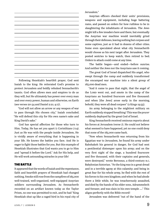Following Hezekiah's heartfelt prayer, God sent Isaiah to the king: He reiterated God's promise to protect Jerusalem and boldly rebuked Sennacherib's taunts. God often allows men and empires to do as they will, but He ultimately has power over every man and over every power, human and otherwise, on Earth (see verses 20-34 and Daniel 2:21; 4:17).

"God will not allow an arrow or any weapon of war to pass through His chosen city," Isaiah concluded. "He will defend this city for His own name's sake and King David's sake."

God has special affection for those who turn to Him. Today, He has set you apart (1 Corinthians 7:14). Just as He was with the people inside Jerusalem, He is vividly aware of everything that is happening in your life. He knows the battles you face. And He is eager to fight those battles for you. But this example of Hezekiah illustrates that God wants you to go to Him and "spread it before the Lord." Ask for His help, and He will work astounding miracles in your life!

#### THE BATTLE

It appeared that the words of Isaiah and the repentance, faith and heartfelt prayers of Hezekiah had changed nothing. Smoke still rose from the campfires of 185,000 well-trained, well-organized, well-equipped Assyrian soldiers surrounding Jerusalem. As Sennacherib recorded on an artifact known today as the Taylor Prism, no one was permitted to exit, and he had "King Hezekiah shut up like a caged bird in his royal city of Jerusalem."

Assyrian officers checked their units' provisions, weapons and equipment, including huge battering rams, and passed on orders for how ruthless to be in slaughtering the inhabitants of Jerusalem. The Jews might kill a few invaders here and there, but eventually the Assyrian war machine would inevitably grind through their defenses, leaving nothing but corpses and some captives, just as it had in dozens of other cities. Some even speculated about what city Sennacherib would choose as his next target after Jerusalem. They posted sentries to keep watch, then retired to bed. Orders to attack could come at any time.

The battle began—and ended—before sunrise. And neither the Jews nor the Assyrians saw it coming.

The great God of Israel dispatched His angel, who swept through the camp and suddenly transformed the encamped war machine into a silent group of 185,000 dead men.

"And it came to pass that night, that the angel of the LORD went out, and smote in the camp of the Assyrians an hundred fourscore and five thousand: and when [the Jews] arose early in the morning, behold, they were all dead corpses" (2 Kings 19:35).

An army belonging to the mightiest military on Earth suddenly stopped breathing! This was the *power* suddenly deployed by the great God of Israel.

King Sennacherib received ominous reports about his forces at Jerusalem (verse 7). He could not believe what seemed to have happened, yet no one could deny that none of the 185,000 came back.

"Now when Sennacherib was returning from his Egyptian war to Jerusalem, he found his army under Rabshakeh his general in danger, for God had sent a pestilential distemper upon his army; and on the very first night of the siege, a hundred fourscore and five thousand, with their captains and generals, were destroyed," wrote Berossus, a third-century b.c. Babylonian historian. "So the king was in a great dread and in a terrible agony at this calamity; and being in great fear for his whole army, he fled with the rest of his forces to his own kingdom; and when he had abode there a little while, he was treacherously assaulted, and died by the hands of his elder sons, Adrammelech and Seraser, and was slain in his own temple …." This aligns perfectly with the Bible record!

Jerusalem was delivered "out of the hand of the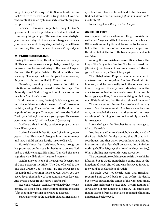king of Assyria" (2 Kings 20:6). Sennacherib did, in fact, "return to his own land" (2 Kings 19:7, 36). And he was eventually killed by his sons while worshiping in a temple (verse 37).

Because Hezekiah repented, sought God's government, took his problems to God and relied on Him, everything changed. The same God wants to fight *your* battles today. He knows your struggles. He sees your enemies. And He says to you that if you will turn to Him, obey Him, and believe Him, *He will defend you.* 

#### MIRACULOUS HEALING

During this same time, Hezekiah became extremely ill. This severe sickness was probably caused by the intense stress he was suffering in the face of Assyria. God sent the Prophet Isaiah to Hezekiah with a dire warning: "Thus says the LORD, Set your house in order; for you shall die, and not live" (2 Kings 20:1).

Hezekiah, learning many lessons in faith at this time, immediately turned to God in prayer. He fervently asked God to forgive him of his sins and to heal him from his sickness.

"And it came to pass, [before] Isaiah was gone out into the middle court, that the word of the LORD came to him, saying, Turn again, and tell Hezekiah the captain of my people, Thus says the LORD, the God of David your father, I have heard your prayer, I have seen your tears: behold, I will heal you …" (verses 4-5).

God heard that humble, passionate prayer just as He will hear yours.

God told Hezekiah that He would give him 15 more years to live. This would also give him time to marry and have a child, an heir for the throne of David.

Hezekiah knew that God always follows through on His promises, but he was a bit hesitant to believe God had so quickly changed His mind. "Can God give me a sign that He will do this?" he asked (verse 8).

Isaiah's answer is one of the greatest descriptions of God's power in the Bible. "The God of Israel is the one true Creator God," he said. "By His power He set the Earth and the sun in their courses, which you see every day as the shadow of your sundial moves forward. And by His power He can *move it backward."*

Hezekiah looked at Isaiah. He realized what he was saying. He asked for a solar-system altering miracle: "[L]et the shadow return backward 10 degrees."

Staring intently at the sun dial's shadow, Hezekiah's

eyes filled with tears as he watched it shift backward. God had altered *the relationship of the sun to the Earth* just for him!

Never forget *who this great God truly is.*

#### ANOTHER TEST

Word spread that Jerusalem and King Hezekiah had withstood Assyria and that Hezekiah had been healed. Other nations sent gifts and treasures to Jerusalem. But within this time of success was a danger, and Hezekiah fell victim to it: He became proud and selfconfident.

Among the well-wishers were officers from the king of the Babylonian Empire, "for he had heard that [Hezekiah] had been sick, and was recovered" (Isaiah 39:1; 2 Kings 20:12; 2 Chronicles 32:31).

The Babylonian Empire was comparable in greatness to the Assyrian Empire. Hezekiah felt honored, and he personally took the officers on a tour throughout the city, even showing them the great treasures inside the storehouses of the temple. Isaiah 39:2 specifies, "there was nothing in his house, nor all his dominion, that Hezekiah showed them not."

This was a grave mistake. Because he did not stay close to God, he became vain. And because he became vain, he revealed the wealth and some of the inner workings of his kingdom to an incredibly powerful future *enemy.*

Later, God gave the Prophet Isaiah a message to take to Hezekiah.

"And Isaiah said unto Hezekiah, Hear the word of the LORD. Behold, the days come, that all that is in your house, and that which your fathers have laid up in store unto this day, shall be carried into Babylon: nothing shall be left, says the LORD" (2 Kings 20:16-17). What a chilling message and strong correction!

This destruction would not come within Hezekiah's lifetime, but it would nonetheless come. Just as the kingdom of Israel sinned and was destroyed for it, so too would be the kingdom of Judah.

The Bible does not clearly state that Hezekiah repented and turned back to God before his death, but he was buried in the tombs of the righteous kings, and 2 Chronicles 32:33 states that "the inhabitants of Jerusalem did him honor at his death." This indicates that he learned from his mistakes, repented of his sins, and turned back to God.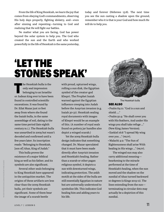From the life of King Hezekiah, we learn the joy that comes from obeying God's commandments, observing His holy days properly, fighting idolatry, and—even after sinning and repenting—turning to God and realizing that He will fight our battles.

No matter what you are facing, God has power beyond the solar system to help you. The God who created the sun and the Earth and who worked powerfully in the life of Hezekiah is the same yesterday, today and forever (Hebrews 13:8). The next time you see the sun casting a shadow upon the ground, remember who it is that is your God and how much He will do to help *you.*

## 'LET THE STONES SPEAK'

**THE HEADER IS A HEADER IS A HEADER IS A HEADER IS A HEADER IS A HEADER IS A MODEL OF A HEADER IS A MODEL OF A HEADER IS A MODEL OF A HEADER IS A MODEL OF A HEADER IS A MODEL OF A HEADER IS A MODEL OF A HEADER IS A MODEL O** only seal impression belonging to an Israelite or Judean king ever to have been found in controlled scientific excavations. It was found by Dr. Eilat Mazar just 10 feet away from where she found the Isaiah bulla, in the same assemblage of soil, dating to the same time period (late eighth century b.c.). The Hezekiah bulla was unearthed in 2009 but wasn't decoded and confirmed until a few years later. Its inscription reads: "Belonging to Hezekiah, [son of] Ahaz, King of Judah."

This bulla proves the existence of a major biblical king as well as his father, and its symbols are also significant.

Several other seals belonging to King Hezekiah have appeared in the antiquities market. The origins of these artifacts are less clear than the 2009 Hezekiah bulla, yet their symbols are significant. Some of them bear the image of a scarab beetle

with proud, upturned wings, rolling a sun disk, the Egyptian symbol of the creator-god Khepri. The Prophet Isaiah warned against the Egyptian influence creeping into Judah before the Assyrian invasion (e.g. Isaiah 30-31). Hezekiah sealing royal documents with images of Khepri would be an example of this. (A number of royal seals found on pottery jar handles also depict a winged scarab.)

Yet the 2009 Hezekiah bulla design indicates that something changed. Dr. Mazar speculated that it must have been made directly after Assyria's invasion and Hezekiah's healing. Rather than a scarab or other pagan religious symbol, it depicts a sun with downturned wings, indicating protection. The ankh motifs at the sides of the bulla are still essentially Egyptian in nature but are universally understood to symbolize life. This indicates God healing him and adding years to his life.



The Hezekiah bulla

#### SEE ALSO

- Psalm 84:11: "God is a sun and shield …."
- Psalm 91:4: "He shall cover you with His feathers, And under His wings you shall take refuge …" (New King James Version). • Ezekiel 16:8 "I spread My wing
- over you …" (nkjv).

• Malachi 4:2: "The Sun of Righteousness shall arise With healing in His wings ..." (NKJV).

The winged sun may also carry additional meaning hearkening to the miracle performed at the time of Hezekiah's healing, when the sun moved and the shadow on the sundial of Ahaz turned backward 10 degrees (2 Kings 20:9-11). The lines extending from the sun terminating in circular dots may actually be a depiction of this sundial.